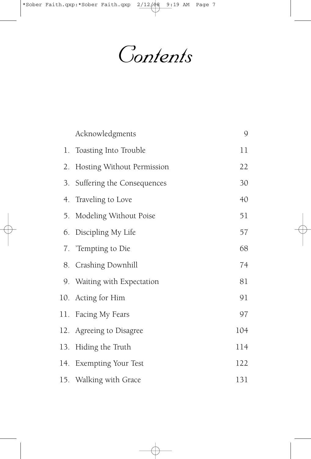*Contents*

| Acknowledgments               | 9   |
|-------------------------------|-----|
| 1. Toasting Into Trouble      | 11  |
| 2. Hosting Without Permission | 22  |
| 3. Suffering the Consequences | 30  |
| 4. Traveling to Love          | 40  |
| 5. Modeling Without Poise     | 51  |
| 6. Discipling My Life         | 57  |
| 7. Tempting to Die            | 68  |
| 8. Crashing Downhill          | 74  |
| 9. Waiting with Expectation   | 81  |
| 10. Acting for Him            | 91  |
| 11. Facing My Fears           | 97  |
| 12. Agreeing to Disagree      | 104 |
| 13. Hiding the Truth          | 114 |
| 14. Exempting Your Test       | 122 |
| 15. Walking with Grace        | 131 |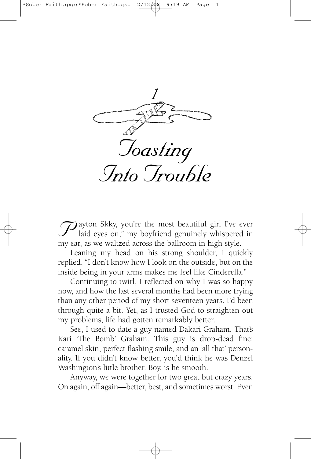

*P* ayton Skky, you're the most beautiful girl I've ever<br>laid eyes on," my boyfriend genuinely whispered in<br>my ear, as we waltzed across the ballroom in high style laid eyes on," my boyfriend genuinely whispered in my ear, as we waltzed across the ballroom in high style.

Leaning my head on his strong shoulder, I quickly replied, "I don't know how I look on the outside, but on the inside being in your arms makes me feel like Cinderella."

Continuing to twirl, I reflected on why I was so happy now, and how the last several months had been more trying than any other period of my short seventeen years. I'd been through quite a bit. Yet, as I trusted God to straighten out my problems, life had gotten remarkably better.

See, I used to date a guy named Dakari Graham. That's Kari 'The Bomb' Graham. This guy is drop-dead fine: caramel skin, perfect flashing smile, and an 'all that' personality. If you didn't know better, you'd think he was Denzel Washington's little brother. Boy, is he smooth.

Anyway, we were together for two great but crazy years. On again, off again—better, best, and sometimes worst. Even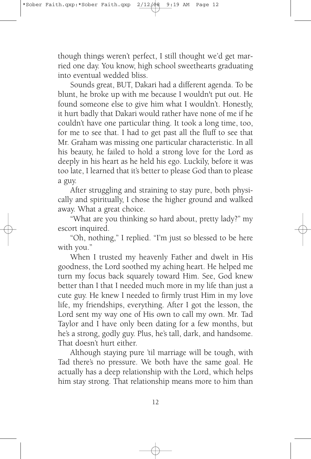though things weren't perfect, I still thought we'd get married one day. You know, high school sweethearts graduating into eventual wedded bliss.

Sounds great, BUT, Dakari had a different agenda. To be blunt, he broke up with me because I wouldn't put out. He found someone else to give him what I wouldn't. Honestly, it hurt badly that Dakari would rather have none of me if he couldn't have one particular thing. It took a long time, too, for me to see that. I had to get past all the fluff to see that Mr. Graham was missing one particular characteristic. In all his beauty, he failed to hold a strong love for the Lord as deeply in his heart as he held his ego. Luckily, before it was too late, I learned that it's better to please God than to please a guy.

After struggling and straining to stay pure, both physically and spiritually, I chose the higher ground and walked away. What a great choice.

"What are you thinking so hard about, pretty lady?" my escort inquired.

"Oh, nothing," I replied. "I'm just so blessed to be here with you."

When I trusted my heavenly Father and dwelt in His goodness, the Lord soothed my aching heart. He helped me turn my focus back squarely toward Him. See, God knew better than I that I needed much more in my life than just a cute guy. He knew I needed to firmly trust Him in my love life, my friendships, everything. After I got the lesson, the Lord sent my way one of His own to call my own. Mr. Tad Taylor and I have only been dating for a few months, but he's a strong, godly guy. Plus, he's tall, dark, and handsome. That doesn't hurt either.

Although staying pure 'til marriage will be tough, with Tad there's no pressure. We both have the same goal. He actually has a deep relationship with the Lord, which helps him stay strong. That relationship means more to him than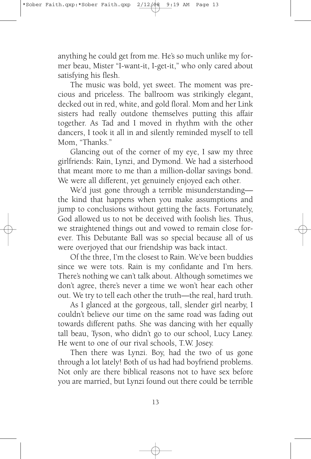anything he could get from me. He's so much unlike my former beau, Mister "I-want-it, I-get-it," who only cared about satisfying his flesh.

The music was bold, yet sweet. The moment was precious and priceless. The ballroom was strikingly elegant, decked out in red, white, and gold floral. Mom and her Link sisters had really outdone themselves putting this affair together. As Tad and I moved in rhythm with the other dancers, I took it all in and silently reminded myself to tell Mom, "Thanks."

Glancing out of the corner of my eye, I saw my three girlfriends: Rain, Lynzi, and Dymond. We had a sisterhood that meant more to me than a million-dollar savings bond. We were all different, yet genuinely enjoyed each other.

We'd just gone through a terrible misunderstanding the kind that happens when you make assumptions and jump to conclusions without getting the facts. Fortunately, God allowed us to not be deceived with foolish lies. Thus, we straightened things out and vowed to remain close forever. This Debutante Ball was so special because all of us were overjoyed that our friendship was back intact.

Of the three, I'm the closest to Rain. We've been buddies since we were tots. Rain is my confidante and I'm hers. There's nothing we can't talk about. Although sometimes we don't agree, there's never a time we won't hear each other out. We try to tell each other the truth—the real, hard truth.

As I glanced at the gorgeous, tall, slender girl nearby, I couldn't believe our time on the same road was fading out towards different paths. She was dancing with her equally tall beau, Tyson, who didn't go to our school, Lucy Laney. He went to one of our rival schools, T.W. Josey.

Then there was Lynzi. Boy, had the two of us gone through a lot lately! Both of us had had boyfriend problems. Not only are there biblical reasons not to have sex before you are married, but Lynzi found out there could be terrible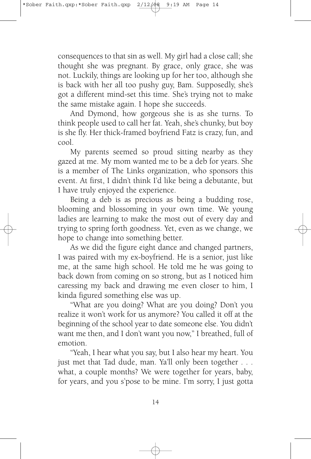consequences to that sin as well. My girl had a close call; she thought she was pregnant. By grace, only grace, she was not. Luckily, things are looking up for her too, although she is back with her all too pushy guy, Bam. Supposedly, she's got a different mind-set this time. She's trying not to make the same mistake again. I hope she succeeds.

And Dymond, how gorgeous she is as she turns. To think people used to call her fat. Yeah, she's chunky, but boy is she fly. Her thick-framed boyfriend Fatz is crazy, fun, and cool.

My parents seemed so proud sitting nearby as they gazed at me. My mom wanted me to be a deb for years. She is a member of The Links organization, who sponsors this event. At first, I didn't think I'd like being a debutante, but I have truly enjoyed the experience.

Being a deb is as precious as being a budding rose, blooming and blossoming in your own time. We young ladies are learning to make the most out of every day and trying to spring forth goodness. Yet, even as we change, we hope to change into something better.

As we did the figure eight dance and changed partners, I was paired with my ex-boyfriend. He is a senior, just like me, at the same high school. He told me he was going to back down from coming on so strong, but as I noticed him caressing my back and drawing me even closer to him, I kinda figured something else was up.

"What are you doing? What are you doing? Don't you realize it won't work for us anymore? You called it off at the beginning of the school year to date someone else. You didn't want me then, and I don't want you now," I breathed, full of emotion.

"Yeah, I hear what you say, but I also hear my heart. You just met that Tad dude, man. Ya'll only been together . . . what, a couple months? We were together for years, baby, for years, and you s'pose to be mine. I'm sorry, I just gotta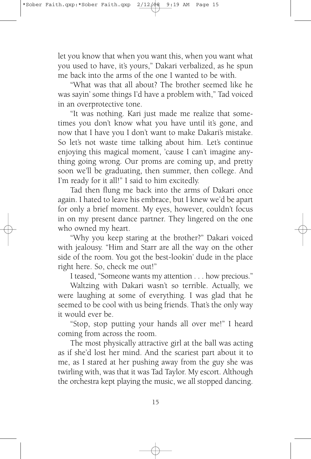let you know that when you want this, when you want what you used to have, it's yours," Dakari verbalized, as he spun me back into the arms of the one I wanted to be with.

"What was that all about? The brother seemed like he was sayin' some things I'd have a problem with," Tad voiced in an overprotective tone.

"It was nothing. Kari just made me realize that sometimes you don't know what you have until it's gone, and now that I have you I don't want to make Dakari's mistake. So let's not waste time talking about him. Let's continue enjoying this magical moment, 'cause I can't imagine anything going wrong. Our proms are coming up, and pretty soon we'll be graduating, then summer, then college. And I'm ready for it all!" I said to him excitedly.

Tad then flung me back into the arms of Dakari once again. I hated to leave his embrace, but I knew we'd be apart for only a brief moment. My eyes, however, couldn't focus in on my present dance partner. They lingered on the one who owned my heart.

"Why you keep staring at the brother?" Dakari voiced with jealousy. "Him and Starr are all the way on the other side of the room. You got the best-lookin' dude in the place right here. So, check me out!"

I teased, "Someone wants my attention . . . how precious."

Waltzing with Dakari wasn't so terrible. Actually, we were laughing at some of everything. I was glad that he seemed to be cool with us being friends. That's the only way it would ever be.

"Stop, stop putting your hands all over me!" I heard coming from across the room.

The most physically attractive girl at the ball was acting as if she'd lost her mind. And the scariest part about it to me, as I stared at her pushing away from the guy she was twirling with, was that it was Tad Taylor. My escort. Although the orchestra kept playing the music, we all stopped dancing.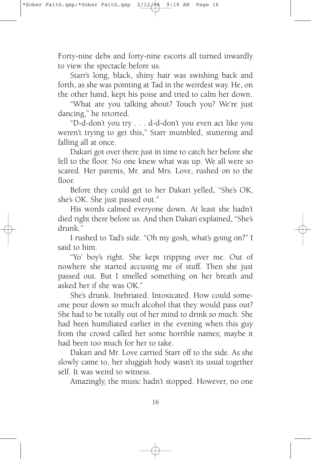Forty-nine debs and forty-nine escorts all turned inwardly to view the spectacle before us.

Starr's long, black, shiny hair was swishing back and forth, as she was pointing at Tad in the weirdest way. He, on the other hand, kept his poise and tried to calm her down.

"What are you talking about? Touch you? We're just dancing," he retorted.

"D-d-don't you try . . . d-d-don't you even act like you weren't trying to get this," Starr mumbled, stuttering and falling all at once.

Dakari got over there just in time to catch her before she fell to the floor. No one knew what was up. We all were so scared. Her parents, Mr. and Mrs. Love, rushed on to the floor.

Before they could get to her Dakari yelled, "She's OK, she's OK. She just passed out."

His words calmed everyone down. At least she hadn't died right there before us. And then Dakari explained, "She's drunk."

I rushed to Tad's side. "Oh my gosh, what's going on?" I said to him.

"Yo' boy's right. She kept tripping over me. Out of nowhere she started accusing me of stuff. Then she just passed out. But I smelled something on her breath and asked her if she was OK."

She's drunk. Inebriated. Intoxicated. How could someone pour down so much alcohol that they would pass out? She had to be totally out of her mind to drink so much. She had been humiliated earlier in the evening when this guy from the crowd called her some horrible names; maybe it had been too much for her to take.

Dakari and Mr. Love carried Starr off to the side. As she slowly came to, her sluggish body wasn't its usual together self. It was weird to witness.

Amazingly, the music hadn't stopped. However, no one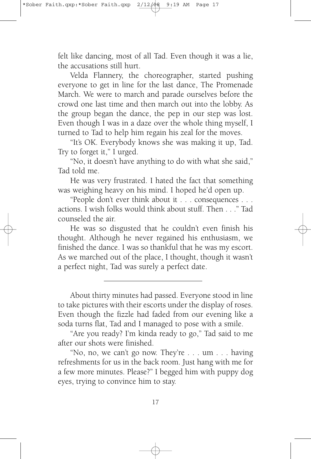felt like dancing, most of all Tad. Even though it was a lie, the accusations still hurt.

Velda Flannery, the choreographer, started pushing everyone to get in line for the last dance, The Promenade March. We were to march and parade ourselves before the crowd one last time and then march out into the lobby. As the group began the dance, the pep in our step was lost. Even though I was in a daze over the whole thing myself, I turned to Tad to help him regain his zeal for the moves.

"It's OK. Everybody knows she was making it up, Tad. Try to forget it," I urged.

"No, it doesn't have anything to do with what she said," Tad told me.

He was very frustrated. I hated the fact that something was weighing heavy on his mind. I hoped he'd open up.

"People don't ever think about it . . . consequences . . . actions. I wish folks would think about stuff. Then . . ." Tad counseled the air.

He was so disgusted that he couldn't even finish his thought. Although he never regained his enthusiasm, we finished the dance. I was so thankful that he was my escort. As we marched out of the place, I thought, though it wasn't a perfect night, Tad was surely a perfect date.

About thirty minutes had passed. Everyone stood in line to take pictures with their escorts under the display of roses. Even though the fizzle had faded from our evening like a soda turns flat, Tad and I managed to pose with a smile.

"Are you ready? I'm kinda ready to go," Tad said to me after our shots were finished.

"No, no, we can't go now. They're . . . um . . . having refreshments for us in the back room. Just hang with me for a few more minutes. Please?" I begged him with puppy dog eyes, trying to convince him to stay.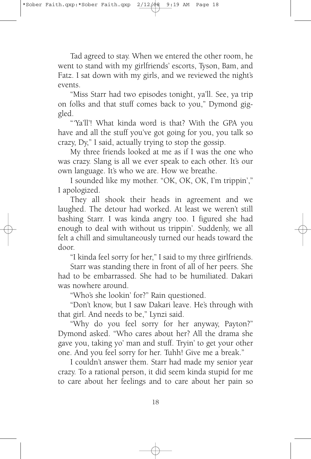Tad agreed to stay. When we entered the other room, he went to stand with my girlfriends' escorts, Tyson, Bam, and Fatz. I sat down with my girls, and we reviewed the night's events.

"Miss Starr had two episodes tonight, ya'll. See, ya trip on folks and that stuff comes back to you," Dymond giggled.

"'Ya'll'! What kinda word is that? With the GPA you have and all the stuff you've got going for you, you talk so crazy, Dy," I said, actually trying to stop the gossip.

My three friends looked at me as if I was the one who was crazy. Slang is all we ever speak to each other. It's our own language. It's who we are. How we breathe.

I sounded like my mother. "OK, OK, OK, I'm trippin'," I apologized.

They all shook their heads in agreement and we laughed. The detour had worked. At least we weren't still bashing Starr. I was kinda angry too. I figured she had enough to deal with without us trippin'. Suddenly, we all felt a chill and simultaneously turned our heads toward the door.

"I kinda feel sorry for her," I said to my three girlfriends.

Starr was standing there in front of all of her peers. She had to be embarrassed. She had to be humiliated. Dakari was nowhere around.

"Who's she lookin' for?" Rain questioned.

"Don't know, but I saw Dakari leave. He's through with that girl. And needs to be," Lynzi said.

"Why do you feel sorry for her anyway, Payton?" Dymond asked. "Who cares about her? All the drama she gave you, taking yo' man and stuff. Tryin' to get your other one. And you feel sorry for her. Tuhh! Give me a break."

I couldn't answer them. Starr had made my senior year crazy. To a rational person, it did seem kinda stupid for me to care about her feelings and to care about her pain so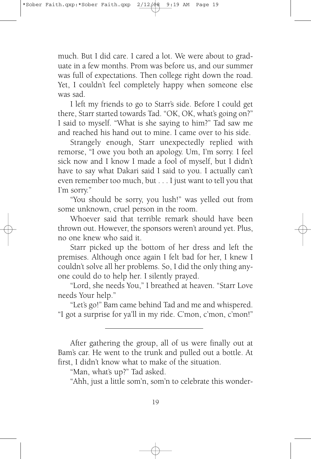much. But I did care. I cared a lot. We were about to graduate in a few months. Prom was before us, and our summer was full of expectations. Then college right down the road. Yet, I couldn't feel completely happy when someone else was sad.

I left my friends to go to Starr's side. Before I could get there, Starr started towards Tad. "OK, OK, what's going on?" I said to myself. "What is she saying to him?" Tad saw me and reached his hand out to mine. I came over to his side.

Strangely enough, Starr unexpectedly replied with remorse, "I owe you both an apology. Um, I'm sorry. I feel sick now and I know I made a fool of myself, but I didn't have to say what Dakari said I said to you. I actually can't even remember too much, but . . . I just want to tell you that I'm sorry."

"You should be sorry, you lush!" was yelled out from some unknown, cruel person in the room.

Whoever said that terrible remark should have been thrown out. However, the sponsors weren't around yet. Plus, no one knew who said it.

Starr picked up the bottom of her dress and left the premises. Although once again I felt bad for her, I knew I couldn't solve all her problems. So, I did the only thing anyone could do to help her. I silently prayed.

"Lord, she needs You," I breathed at heaven. "Starr Love needs Your help."

"Let's go!" Bam came behind Tad and me and whispered. "I got a surprise for ya'll in my ride. C'mon, c'mon, c'mon!"

After gathering the group, all of us were finally out at Bam's car. He went to the trunk and pulled out a bottle. At first, I didn't know what to make of the situation.

"Man, what's up?" Tad asked.

"Ahh, just a little som'n, som'n to celebrate this wonder-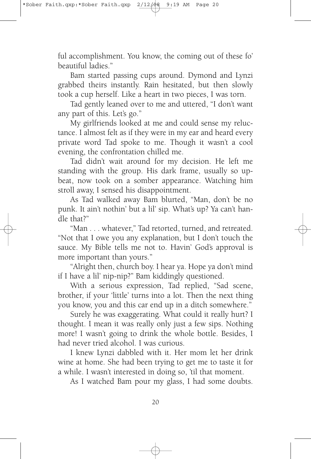ful accomplishment. You know, the coming out of these fo' beautiful ladies."

Bam started passing cups around. Dymond and Lynzi grabbed theirs instantly. Rain hesitated, but then slowly took a cup herself. Like a heart in two pieces, I was torn.

Tad gently leaned over to me and uttered, "I don't want any part of this. Let's go."

My girlfriends looked at me and could sense my reluctance. I almost felt as if they were in my ear and heard every private word Tad spoke to me. Though it wasn't a cool evening, the confrontation chilled me.

Tad didn't wait around for my decision. He left me standing with the group. His dark frame, usually so upbeat, now took on a somber appearance. Watching him stroll away, I sensed his disappointment.

As Tad walked away Bam blurted, "Man, don't be no punk. It ain't nothin' but a lil' sip. What's up? Ya can't handle that?"

"Man . . . whatever," Tad retorted, turned, and retreated. "Not that I owe you any explanation, but I don't touch the sauce. My Bible tells me not to. Havin' God's approval is more important than yours."

"Alright then, church boy. I hear ya. Hope ya don't mind if I have a lil' nip-nip?" Bam kiddingly questioned.

With a serious expression, Tad replied, "Sad scene, brother, if your 'little' turns into a lot. Then the next thing you know, you and this car end up in a ditch somewhere."

Surely he was exaggerating. What could it really hurt? I thought. I mean it was really only just a few sips. Nothing more! I wasn't going to drink the whole bottle. Besides, I had never tried alcohol. I was curious.

I knew Lynzi dabbled with it. Her mom let her drink wine at home. She had been trying to get me to taste it for a while. I wasn't interested in doing so, 'til that moment.

As I watched Bam pour my glass, I had some doubts.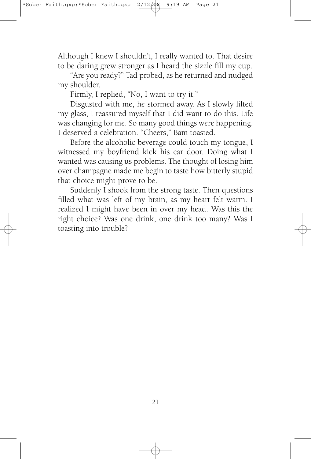Although I knew I shouldn't, I really wanted to. That desire to be daring grew stronger as I heard the sizzle fill my cup.

"Are you ready?" Tad probed, as he returned and nudged my shoulder.

Firmly, I replied, "No, I want to try it."

Disgusted with me, he stormed away. As I slowly lifted my glass, I reassured myself that I did want to do this. Life was changing for me. So many good things were happening. I deserved a celebration. "Cheers," Bam toasted.

Before the alcoholic beverage could touch my tongue, I witnessed my boyfriend kick his car door. Doing what I wanted was causing us problems. The thought of losing him over champagne made me begin to taste how bitterly stupid that choice might prove to be.

Suddenly I shook from the strong taste. Then questions filled what was left of my brain, as my heart felt warm. I realized I might have been in over my head. Was this the right choice? Was one drink, one drink too many? Was I toasting into trouble?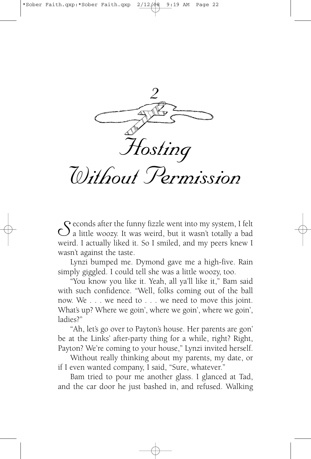*2 Hosting WithoutPermission*

Seconds after the funny fizzle went into my system, I felt<br>a little woozy. It was weird, but it wasn't totally a bad<br>weird, Lactually liked it. So I smiled, and my peers knew. I a little woozy. It was weird, but it wasn't totally a bad weird. I actually liked it. So I smiled, and my peers knew I wasn't against the taste.

Lynzi bumped me. Dymond gave me a high-five. Rain simply giggled. I could tell she was a little woozy, too.

"You know you like it. Yeah, all ya'll like it," Bam said with such confidence. "Well, folks coming out of the ball now. We . . . we need to . . . we need to move this joint. What's up? Where we goin', where we goin', where we goin', ladies?"

"Ah, let's go over to Payton's house. Her parents are gon' be at the Links' after-party thing for a while, right? Right, Payton? We're coming to your house," Lynzi invited herself.

Without really thinking about my parents, my date, or if I even wanted company, I said, "Sure, whatever."

Bam tried to pour me another glass. I glanced at Tad, and the car door he just bashed in, and refused. Walking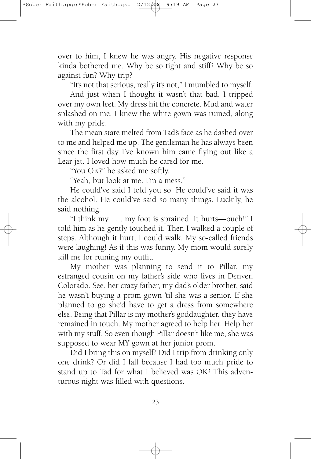over to him, I knew he was angry. His negative response kinda bothered me. Why be so tight and stiff? Why be so against fun? Why trip?

"It's not that serious, really it's not," I mumbled to myself.

And just when I thought it wasn't that bad, I tripped over my own feet. My dress hit the concrete. Mud and water splashed on me. I knew the white gown was ruined, along with my pride.

The mean stare melted from Tad's face as he dashed over to me and helped me up. The gentleman he has always been since the first day I've known him came flying out like a Lear jet. I loved how much he cared for me.

"You OK?" he asked me softly.

"Yeah, but look at me. I'm a mess."

He could've said I told you so. He could've said it was the alcohol. He could've said so many things. Luckily, he said nothing.

"I think my . . . my foot is sprained. It hurts—ouch!" I told him as he gently touched it. Then I walked a couple of steps. Although it hurt, I could walk. My so-called friends were laughing! As if this was funny. My mom would surely kill me for ruining my outfit.

My mother was planning to send it to Pillar, my estranged cousin on my father's side who lives in Denver, Colorado. See, her crazy father, my dad's older brother, said he wasn't buying a prom gown 'til she was a senior. If she planned to go she'd have to get a dress from somewhere else. Being that Pillar is my mother's goddaughter, they have remained in touch. My mother agreed to help her. Help her with my stuff. So even though Pillar doesn't like me, she was supposed to wear MY gown at her junior prom.

Did I bring this on myself? Did I trip from drinking only one drink? Or did I fall because I had too much pride to stand up to Tad for what I believed was OK? This adventurous night was filled with questions.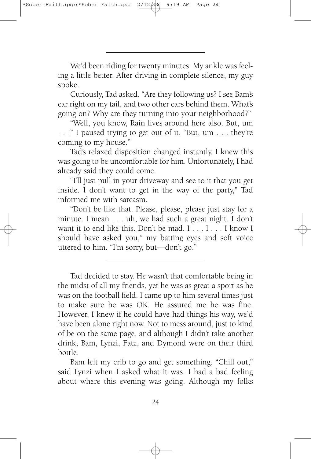We'd been riding for twenty minutes. My ankle was feeling a little better. After driving in complete silence, my guy spoke.

Curiously, Tad asked, "Are they following us? I see Bam's car right on my tail, and two other cars behind them. What's going on? Why are they turning into your neighborhood?"

"Well, you know, Rain lives around here also. But, um . . ." I paused trying to get out of it. "But, um . . . they're coming to my house."

Tad's relaxed disposition changed instantly. I knew this was going to be uncomfortable for him. Unfortunately, I had already said they could come.

"I'll just pull in your driveway and see to it that you get inside. I don't want to get in the way of the party," Tad informed me with sarcasm.

"Don't be like that. Please, please, please just stay for a minute. I mean . . . uh, we had such a great night. I don't want it to end like this. Don't be mad. I . . . I . . . I know I should have asked you," my batting eyes and soft voice uttered to him. "I'm sorry, but—don't go."

Tad decided to stay. He wasn't that comfortable being in the midst of all my friends, yet he was as great a sport as he was on the football field. I came up to him several times just to make sure he was OK. He assured me he was fine. However, I knew if he could have had things his way, we'd have been alone right now. Not to mess around, just to kind of be on the same page, and although I didn't take another drink, Bam, Lynzi, Fatz, and Dymond were on their third bottle.

Bam left my crib to go and get something. "Chill out," said Lynzi when I asked what it was. I had a bad feeling about where this evening was going. Although my folks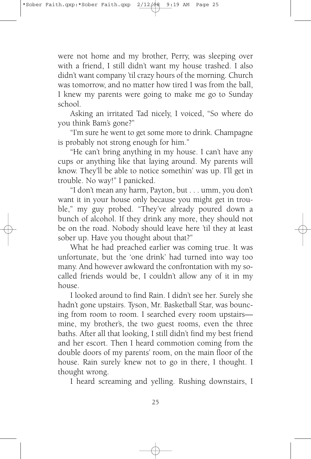were not home and my brother, Perry, was sleeping over with a friend, I still didn't want my house trashed. I also didn't want company 'til crazy hours of the morning. Church was tomorrow, and no matter how tired I was from the ball, I knew my parents were going to make me go to Sunday school.

Asking an irritated Tad nicely, I voiced, "So where do you think Bam's gone?"

"I'm sure he went to get some more to drink. Champagne is probably not strong enough for him."

"He can't bring anything in my house. I can't have any cups or anything like that laying around. My parents will know. They'll be able to notice somethin' was up. I'll get in trouble. No way!" I panicked.

"I don't mean any harm, Payton, but . . . umm, you don't want it in your house only because you might get in trouble," my guy probed. "They've already poured down a bunch of alcohol. If they drink any more, they should not be on the road. Nobody should leave here 'til they at least sober up. Have you thought about that?"

What he had preached earlier was coming true. It was unfortunate, but the 'one drink' had turned into way too many. And however awkward the confrontation with my socalled friends would be, I couldn't allow any of it in my house.

I looked around to find Rain. I didn't see her. Surely she hadn't gone upstairs. Tyson, Mr. Basketball Star, was bouncing from room to room. I searched every room upstairs mine, my brother's, the two guest rooms, even the three baths. After all that looking, I still didn't find my best friend and her escort. Then I heard commotion coming from the double doors of my parents' room, on the main floor of the house. Rain surely knew not to go in there, I thought. I thought wrong.

I heard screaming and yelling. Rushing downstairs, I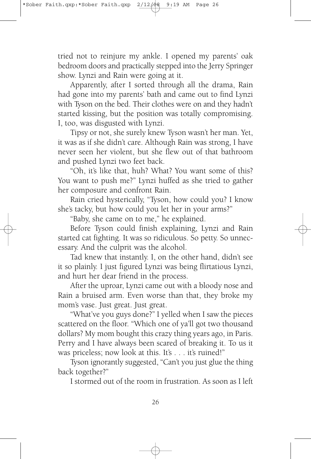tried not to reinjure my ankle. I opened my parents' oak bedroom doors and practically stepped into the Jerry Springer show. Lynzi and Rain were going at it.

Apparently, after I sorted through all the drama, Rain had gone into my parents' bath and came out to find Lynzi with Tyson on the bed. Their clothes were on and they hadn't started kissing, but the position was totally compromising. I, too, was disgusted with Lynzi.

Tipsy or not, she surely knew Tyson wasn't her man. Yet, it was as if she didn't care. Although Rain was strong, I have never seen her violent, but she flew out of that bathroom and pushed Lynzi two feet back.

"Oh, it's like that, huh? What? You want some of this? You want to push me?" Lynzi huffed as she tried to gather her composure and confront Rain.

Rain cried hysterically, "Tyson, how could you? I know she's tacky, but how could you let her in your arms?"

"Baby, she came on to me," he explained.

Before Tyson could finish explaining, Lynzi and Rain started cat fighting. It was so ridiculous. So petty. So unnecessary. And the culprit was the alcohol.

Tad knew that instantly. I, on the other hand, didn't see it so plainly. I just figured Lynzi was being flirtatious Lynzi, and hurt her dear friend in the process.

After the uproar, Lynzi came out with a bloody nose and Rain a bruised arm. Even worse than that, they broke my mom's vase. Just great. Just great.

"What've you guys done?" I yelled when I saw the pieces scattered on the floor. "Which one of ya'll got two thousand dollars? My mom bought this crazy thing years ago, in Paris. Perry and I have always been scared of breaking it. To us it was priceless; now look at this. It's . . . it's ruined!"

Tyson ignorantly suggested, "Can't you just glue the thing back together?"

I stormed out of the room in frustration. As soon as I left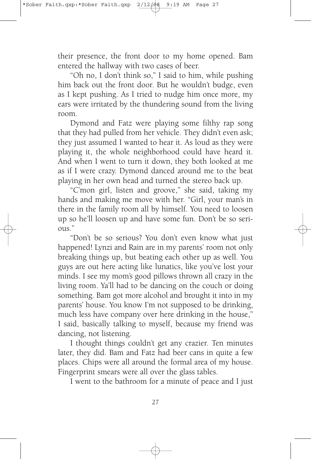their presence, the front door to my home opened. Bam entered the hallway with two cases of beer.

"Oh no, I don't think so," I said to him, while pushing him back out the front door. But he wouldn't budge, even as I kept pushing. As I tried to nudge him once more, my ears were irritated by the thundering sound from the living room.

Dymond and Fatz were playing some filthy rap song that they had pulled from her vehicle. They didn't even ask; they just assumed I wanted to hear it. As loud as they were playing it, the whole neighborhood could have heard it. And when I went to turn it down, they both looked at me as if I were crazy. Dymond danced around me to the beat playing in her own head and turned the stereo back up.

"C'mon girl, listen and groove," she said, taking my hands and making me move with her. "Girl, your man's in there in the family room all by himself. You need to loosen up so he'll loosen up and have some fun. Don't be so serious."

"Don't be so serious? You don't even know what just happened! Lynzi and Rain are in my parents' room not only breaking things up, but beating each other up as well. You guys are out here acting like lunatics, like you've lost your minds. I see my mom's good pillows thrown all crazy in the living room. Ya'll had to be dancing on the couch or doing something. Bam got more alcohol and brought it into in my parents' house. You know I'm not supposed to be drinking, much less have company over here drinking in the house," I said, basically talking to myself, because my friend was dancing, not listening.

I thought things couldn't get any crazier. Ten minutes later, they did. Bam and Fatz had beer cans in quite a few places. Chips were all around the formal area of my house. Fingerprint smears were all over the glass tables.

I went to the bathroom for a minute of peace and I just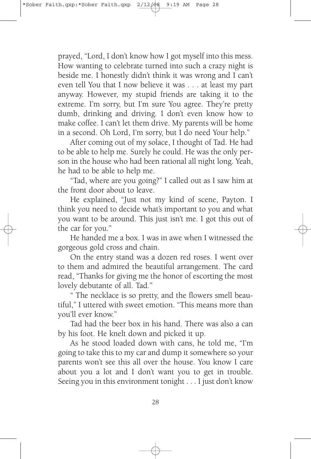prayed, "Lord, I don't know how I got myself into this mess. How wanting to celebrate turned into such a crazy night is beside me. I honestly didn't think it was wrong and I can't even tell You that I now believe it was . . . at least my part anyway. However, my stupid friends are taking it to the extreme. I'm sorry, but I'm sure You agree. They're pretty dumb, drinking and driving. I don't even know how to make coffee. I can't let them drive. My parents will be home in a second. Oh Lord, I'm sorry, but I do need Your help."

After coming out of my solace, I thought of Tad. He had to be able to help me. Surely he could. He was the only person in the house who had been rational all night long. Yeah, he had to be able to help me.

"Tad, where are you going?" I called out as I saw him at the front door about to leave.

He explained, "Just not my kind of scene, Payton. I think you need to decide what's important to you and what you want to be around. This just isn't me. I got this out of the car for you."

He handed me a box. I was in awe when I witnessed the gorgeous gold cross and chain.

On the entry stand was a dozen red roses. I went over to them and admired the beautiful arrangement. The card read, "Thanks for giving me the honor of escorting the most lovely debutante of all. Tad."

" The necklace is so pretty, and the flowers smell beautiful," I uttered with sweet emotion. "This means more than you'll ever know."

Tad had the beer box in his hand. There was also a can by his foot. He knelt down and picked it up.

As he stood loaded down with cans, he told me, "I'm going to take this to my car and dump it somewhere so your parents won't see this all over the house. You know I care about you a lot and I don't want you to get in trouble. Seeing you in this environment tonight . . . I just don't know